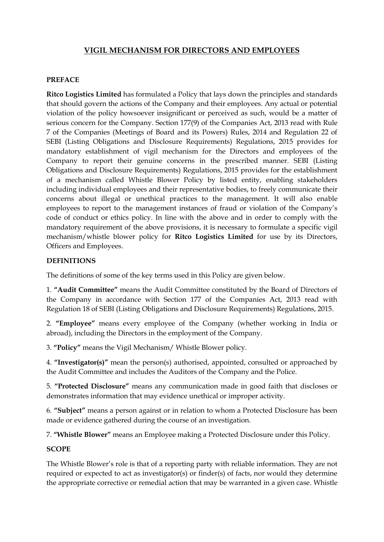# **VIGIL MECHANISM FOR DIRECTORS AND EMPLOYEES**

#### **PREFACE**

**Ritco Logistics Limited** has formulated a Policy that lays down the principles and standards that should govern the actions of the Company and their employees. Any actual or potential violation of the policy howsoever insignificant or perceived as such, would be a matter of serious concern for the Company. Section 177(9) of the Companies Act, 2013 read with Rule 7 of the Companies (Meetings of Board and its Powers) Rules, 2014 and Regulation 22 of SEBI (Listing Obligations and Disclosure Requirements) Regulations, 2015 provides for mandatory establishment of vigil mechanism for the Directors and employees of the Company to report their genuine concerns in the prescribed manner. SEBI (Listing Obligations and Disclosure Requirements) Regulations, 2015 provides for the establishment of a mechanism called Whistle Blower Policy by listed entity, enabling stakeholders including individual employees and their representative bodies, to freely communicate their concerns about illegal or unethical practices to the management. It will also enable employees to report to the management instances of fraud or violation of the Company's code of conduct or ethics policy. In line with the above and in order to comply with the mandatory requirement of the above provisions, it is necessary to formulate a specific vigil mechanism/whistle blower policy for **Ritco Logistics Limited** for use by its Directors, Officers and Employees.

#### **DEFINITIONS**

The definitions of some of the key terms used in this Policy are given below.

1. **"Audit Committee"** means the Audit Committee constituted by the Board of Directors of the Company in accordance with Section 177 of the Companies Act, 2013 read with Regulation 18 of SEBI (Listing Obligations and Disclosure Requirements) Regulations, 2015.

2. **"Employee"** means every employee of the Company (whether working in India or abroad), including the Directors in the employment of the Company.

3. **"Policy"** means the Vigil Mechanism/ Whistle Blower policy.

4. **"Investigator(s)"** mean the person(s) authorised, appointed, consulted or approached by the Audit Committee and includes the Auditors of the Company and the Police.

5. **"Protected Disclosure"** means any communication made in good faith that discloses or demonstrates information that may evidence unethical or improper activity.

6. **"Subject"** means a person against or in relation to whom a Protected Disclosure has been made or evidence gathered during the course of an investigation.

7. **"Whistle Blower"** means an Employee making a Protected Disclosure under this Policy.

#### **SCOPE**

The Whistle Blower's role is that of a reporting party with reliable information. They are not required or expected to act as investigator(s) or finder(s) of facts, nor would they determine the appropriate corrective or remedial action that may be warranted in a given case. Whistle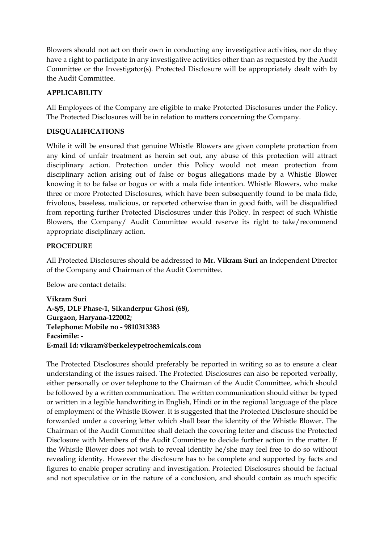Blowers should not act on their own in conducting any investigative activities, nor do they have a right to participate in any investigative activities other than as requested by the Audit Committee or the Investigator(s). Protected Disclosure will be appropriately dealt with by the Audit Committee.

### **APPLICABILITY**

All Employees of the Company are eligible to make Protected Disclosures under the Policy. The Protected Disclosures will be in relation to matters concerning the Company.

## **DISQUALIFICATIONS**

While it will be ensured that genuine Whistle Blowers are given complete protection from any kind of unfair treatment as herein set out, any abuse of this protection will attract disciplinary action. Protection under this Policy would not mean protection from disciplinary action arising out of false or bogus allegations made by a Whistle Blower knowing it to be false or bogus or with a mala fide intention. Whistle Blowers, who make three or more Protected Disclosures, which have been subsequently found to be mala fide, frivolous, baseless, malicious, or reported otherwise than in good faith, will be disqualified from reporting further Protected Disclosures under this Policy. In respect of such Whistle Blowers, the Company/ Audit Committee would reserve its right to take/recommend appropriate disciplinary action.

### **PROCEDURE**

All Protected Disclosures should be addressed to **Mr. Vikram Suri** an Independent Director of the Company and Chairman of the Audit Committee.

Below are contact details:

**Vikram Suri A-8/5, DLF Phase-1, Sikanderpur Ghosi (68), Gurgaon, Haryana-122002; Telephone: Mobile no - 9810313383 Facsimile: - E-mail Id: vikram@berkeleypetrochemicals.com**

The Protected Disclosures should preferably be reported in writing so as to ensure a clear understanding of the issues raised. The Protected Disclosures can also be reported verbally, either personally or over telephone to the Chairman of the Audit Committee, which should be followed by a written communication. The written communication should either be typed or written in a legible handwriting in English, Hindi or in the regional language of the place of employment of the Whistle Blower. It is suggested that the Protected Disclosure should be forwarded under a covering letter which shall bear the identity of the Whistle Blower. The Chairman of the Audit Committee shall detach the covering letter and discuss the Protected Disclosure with Members of the Audit Committee to decide further action in the matter. If the Whistle Blower does not wish to reveal identity he/she may feel free to do so without revealing identity. However the disclosure has to be complete and supported by facts and figures to enable proper scrutiny and investigation. Protected Disclosures should be factual and not speculative or in the nature of a conclusion, and should contain as much specific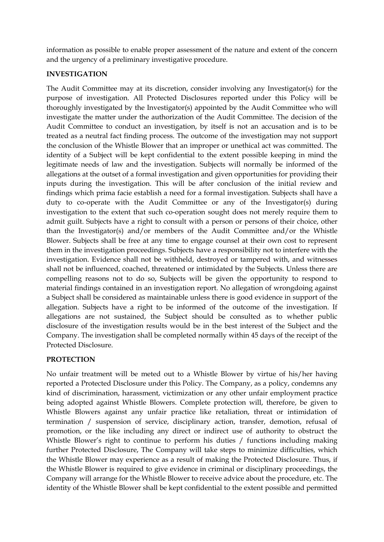information as possible to enable proper assessment of the nature and extent of the concern and the urgency of a preliminary investigative procedure.

#### **INVESTIGATION**

The Audit Committee may at its discretion, consider involving any Investigator(s) for the purpose of investigation. All Protected Disclosures reported under this Policy will be thoroughly investigated by the Investigator(s) appointed by the Audit Committee who will investigate the matter under the authorization of the Audit Committee. The decision of the Audit Committee to conduct an investigation, by itself is not an accusation and is to be treated as a neutral fact finding process. The outcome of the investigation may not support the conclusion of the Whistle Blower that an improper or unethical act was committed. The identity of a Subject will be kept confidential to the extent possible keeping in mind the legitimate needs of law and the investigation. Subjects will normally be informed of the allegations at the outset of a formal investigation and given opportunities for providing their inputs during the investigation. This will be after conclusion of the initial review and findings which prima facie establish a need for a formal investigation. Subjects shall have a duty to co-operate with the Audit Committee or any of the Investigator(s) during investigation to the extent that such co-operation sought does not merely require them to admit guilt. Subjects have a right to consult with a person or persons of their choice, other than the Investigator(s) and/or members of the Audit Committee and/or the Whistle Blower. Subjects shall be free at any time to engage counsel at their own cost to represent them in the investigation proceedings. Subjects have a responsibility not to interfere with the investigation. Evidence shall not be withheld, destroyed or tampered with, and witnesses shall not be influenced, coached, threatened or intimidated by the Subjects. Unless there are compelling reasons not to do so, Subjects will be given the opportunity to respond to material findings contained in an investigation report. No allegation of wrongdoing against a Subject shall be considered as maintainable unless there is good evidence in support of the allegation. Subjects have a right to be informed of the outcome of the investigation. If allegations are not sustained, the Subject should be consulted as to whether public disclosure of the investigation results would be in the best interest of the Subject and the Company. The investigation shall be completed normally within 45 days of the receipt of the Protected Disclosure.

### **PROTECTION**

No unfair treatment will be meted out to a Whistle Blower by virtue of his/her having reported a Protected Disclosure under this Policy. The Company, as a policy, condemns any kind of discrimination, harassment, victimization or any other unfair employment practice being adopted against Whistle Blowers. Complete protection will, therefore, be given to Whistle Blowers against any unfair practice like retaliation, threat or intimidation of termination / suspension of service, disciplinary action, transfer, demotion, refusal of promotion, or the like including any direct or indirect use of authority to obstruct the Whistle Blower's right to continue to perform his duties / functions including making further Protected Disclosure, The Company will take steps to minimize difficulties, which the Whistle Blower may experience as a result of making the Protected Disclosure. Thus, if the Whistle Blower is required to give evidence in criminal or disciplinary proceedings, the Company will arrange for the Whistle Blower to receive advice about the procedure, etc. The identity of the Whistle Blower shall be kept confidential to the extent possible and permitted